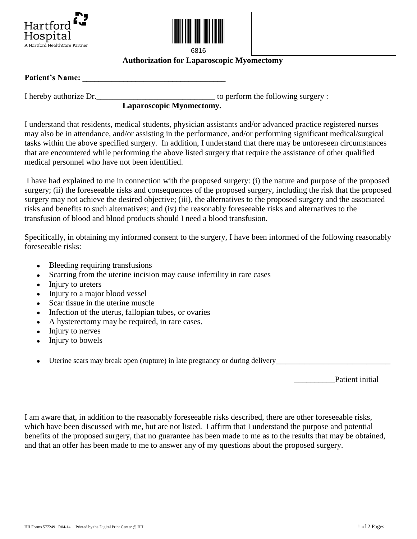



6816

## **Authorization for Laparoscopic Myomectomy**

## Patient's Name:

I hereby authorize Dr.\_\_\_\_\_\_\_\_\_\_\_\_\_\_\_\_\_\_\_\_\_\_\_\_\_\_\_\_\_ to perform the following surgery :

## **Laparoscopic Myomectomy.**

I understand that residents, medical students, physician assistants and/or advanced practice registered nurses may also be in attendance, and/or assisting in the performance, and/or performing significant medical/surgical tasks within the above specified surgery. In addition, I understand that there may be unforeseen circumstances that are encountered while performing the above listed surgery that require the assistance of other qualified medical personnel who have not been identified.

I have had explained to me in connection with the proposed surgery: (i) the nature and purpose of the proposed surgery; (ii) the foreseeable risks and consequences of the proposed surgery, including the risk that the proposed surgery may not achieve the desired objective; (iii), the alternatives to the proposed surgery and the associated risks and benefits to such alternatives; and (iv) the reasonably foreseeable risks and alternatives to the transfusion of blood and blood products should I need a blood transfusion.

Specifically, in obtaining my informed consent to the surgery, I have been informed of the following reasonably foreseeable risks:

- Bleeding requiring transfusions
- Scarring from the uterine incision may cause infertility in rare cases
- Injury to ureters  $\bullet$
- Injury to a major blood vessel
- Scar tissue in the uterine muscle
- Infection of the uterus, fallopian tubes, or ovaries
- A hysterectomy may be required, in rare cases.
- Injury to nerves
- Injury to bowels
- Uterine scars may break open (rupture) in late pregnancy or during delivery

Patient initial

I am aware that, in addition to the reasonably foreseeable risks described, there are other foreseeable risks, which have been discussed with me, but are not listed. I affirm that I understand the purpose and potential benefits of the proposed surgery, that no guarantee has been made to me as to the results that may be obtained, and that an offer has been made to me to answer any of my questions about the proposed surgery.